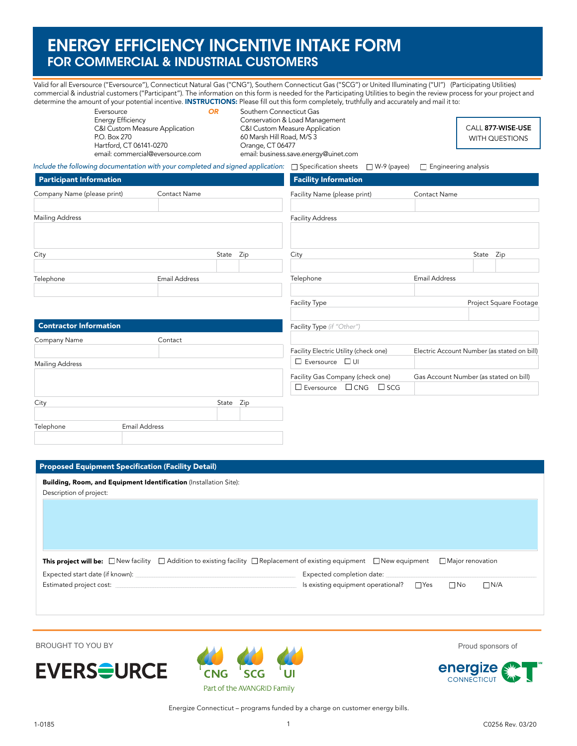# ENERGY EFFICIENCY INCENTIVE INTAKE FORM FOR COMMERCIAL & INDUSTRIAL CUSTOMERS

Valid for all Eversource ("Eversource"), Connecticut Natural Gas ("CNG"), Southern Connecticut Gas ("SCG") or United Illuminating ("UI") (Participating Utilities) commercial & industrial customers ("Participant"). The information on this form is needed for the Participating Utilities to begin the review process for your project and determine the amount of your potential incentive. INSTRUCTIONS: Please fill out this form completely, truthfully and accurately and mail it to:

| Eversource                                                                                            | <b>OR</b> | Southern Connecticut Gas                                                                                          |                                            |
|-------------------------------------------------------------------------------------------------------|-----------|-------------------------------------------------------------------------------------------------------------------|--------------------------------------------|
| <b>Energy Efficiency</b><br>C&I Custom Measure Application<br>P.O. Box 270<br>Hartford, CT 06141-0270 |           | Conservation & Load Management<br>C&I Custom Measure Application<br>60 Marsh Hill Road, M/S 3<br>Orange, CT 06477 | CALL 877-WISE-USE<br><b>WITH QUESTIONS</b> |
| email: commercial@eversource.com                                                                      |           | email: business.save.energy@uinet.com                                                                             |                                            |

*Include the following documentation with your completed and signed application:* Specification sheets W-9 (payee) Engineering analysis

| <b>Participant Information</b> |                      |       |     | <b>Facility Information</b>                |                                             |       |                        |
|--------------------------------|----------------------|-------|-----|--------------------------------------------|---------------------------------------------|-------|------------------------|
| Company Name (please print)    | Contact Name         |       |     | Facility Name (please print)               | Contact Name                                |       |                        |
| <b>Mailing Address</b>         |                      |       |     | <b>Facility Address</b>                    |                                             |       |                        |
| City                           |                      | State | Zip | City                                       |                                             | State | Zip                    |
| Telephone                      | <b>Email Address</b> |       |     | Telephone                                  | Email Address                               |       |                        |
|                                |                      |       |     | Facility Type                              |                                             |       | Project Square Footage |
| <b>Contractor Information</b>  |                      |       |     | Facility Type (if "Other")                 |                                             |       |                        |
| Company Name                   | Contact              |       |     |                                            |                                             |       |                        |
|                                |                      |       |     | Facility Electric Utility (check one)      | Electric Account Number (as stated on bill) |       |                        |
| <b>Mailing Address</b>         |                      |       |     | $\Box$ Eversource $\Box$ UI                |                                             |       |                        |
|                                |                      |       |     | Facility Gas Company (check one)           | Gas Account Number (as stated on bill)      |       |                        |
|                                |                      |       |     | $\Box$ Eversource $\Box$ CNG<br>$\Box$ SCG |                                             |       |                        |
| City                           |                      | State | Zip |                                            |                                             |       |                        |

## Proposed Equipment Specification (Facility Detail)

Telephone Email Address

| <b>Building, Room, and Equipment Identification</b> (Installation Site):                                                                                                                                                       |                                                                                                                                                                         |
|--------------------------------------------------------------------------------------------------------------------------------------------------------------------------------------------------------------------------------|-------------------------------------------------------------------------------------------------------------------------------------------------------------------------|
| Description of project:                                                                                                                                                                                                        |                                                                                                                                                                         |
|                                                                                                                                                                                                                                |                                                                                                                                                                         |
|                                                                                                                                                                                                                                |                                                                                                                                                                         |
|                                                                                                                                                                                                                                |                                                                                                                                                                         |
|                                                                                                                                                                                                                                |                                                                                                                                                                         |
|                                                                                                                                                                                                                                |                                                                                                                                                                         |
|                                                                                                                                                                                                                                | This project will be: $\Box$ New facility $\Box$ Addition to existing facility $\Box$ Replacement of existing equipment $\Box$ New equipment<br>$\Box$ Major renovation |
| Expected start date (if known): Notified that the state of the state of the state of the state of the state of the state of the state of the state of the state of the state of the state of the state of the state of the sta | Expected completion date: National Assembly Completed Completion date:                                                                                                  |







Energize Connecticut – programs funded by a charge on customer energy bills.